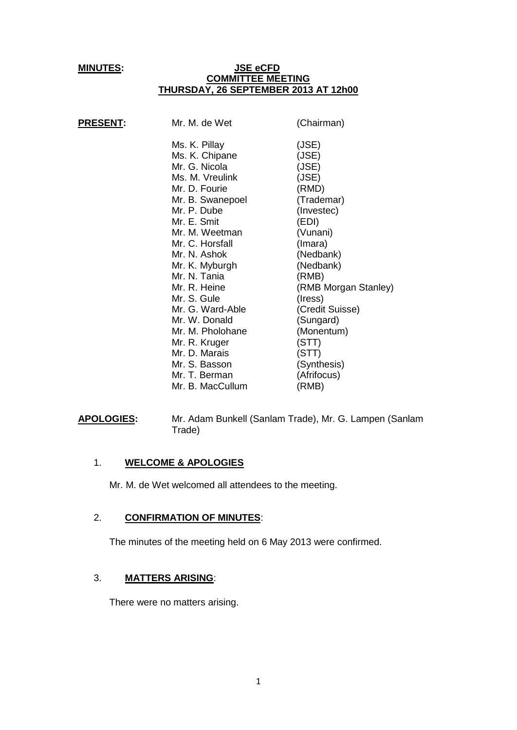#### **MINUTES: JSE eCFD COMMITTEE MEETING THURSDAY, 26 SEPTEMBER 2013 AT 12h00**

| <b>PRESENT:</b> | Mr. M. de Wet                                                                                                                                                                                                                                 | (Chairman)                                                                                                                                                       |
|-----------------|-----------------------------------------------------------------------------------------------------------------------------------------------------------------------------------------------------------------------------------------------|------------------------------------------------------------------------------------------------------------------------------------------------------------------|
|                 | Ms. K. Pillay<br>Ms. K. Chipane<br>Mr. G. Nicola<br>Ms. M. Vreulink<br>Mr. D. Fourie<br>Mr. B. Swanepoel<br>Mr. P. Dube<br>Mr. E. Smit<br>Mr. M. Weetman<br>Mr. C. Horsfall<br>Mr. N. Ashok<br>Mr. K. Myburgh<br>Mr. N. Tania<br>Mr. R. Heine | (JSE)<br>(JSE)<br>(JSE)<br>(JSE)<br>(RMD)<br>(Trademar)<br>(Investec)<br>(EDI)<br>(Vunani)<br>(Imara)<br>(Nedbank)<br>(Nedbank)<br>(RMB)<br>(RMB Morgan Stanley) |
|                 | Mr. S. Gule<br>Mr. G. Ward-Able                                                                                                                                                                                                               | (Iress)<br>(Credit Suisse)                                                                                                                                       |
|                 | Mr. W. Donald<br>Mr. M. Pholohane                                                                                                                                                                                                             | (Sungard)<br>(Monentum)                                                                                                                                          |
|                 | Mr. R. Kruger<br>Mr. D. Marais<br>Mr. S. Basson                                                                                                                                                                                               | (STT)<br>(STT)<br>(Synthesis)                                                                                                                                    |
|                 | Mr. T. Berman<br>Mr. B. MacCullum                                                                                                                                                                                                             | (Afrifocus)<br>(RMB)                                                                                                                                             |
|                 |                                                                                                                                                                                                                                               |                                                                                                                                                                  |

**APOLOGIES:** Mr. Adam Bunkell (Sanlam Trade), Mr. G. Lampen (Sanlam Trade)

#### 1. **WELCOME & APOLOGIES**

Mr. M. de Wet welcomed all attendees to the meeting.

# 2. **CONFIRMATION OF MINUTES**:

The minutes of the meeting held on 6 May 2013 were confirmed.

### 3. **MATTERS ARISING**:

There were no matters arising.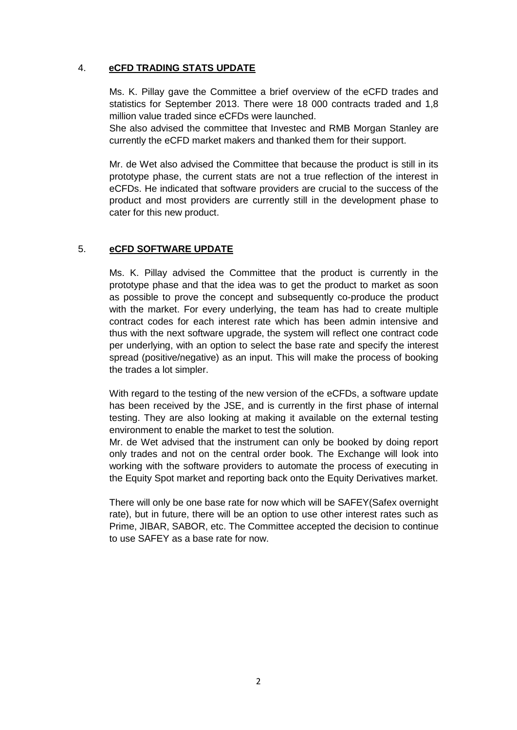# 4. **eCFD TRADING STATS UPDATE**

Ms. K. Pillay gave the Committee a brief overview of the eCFD trades and statistics for September 2013. There were 18 000 contracts traded and 1,8 million value traded since eCFDs were launched.

She also advised the committee that Investec and RMB Morgan Stanley are currently the eCFD market makers and thanked them for their support.

Mr. de Wet also advised the Committee that because the product is still in its prototype phase, the current stats are not a true reflection of the interest in eCFDs. He indicated that software providers are crucial to the success of the product and most providers are currently still in the development phase to cater for this new product.

## 5. **eCFD SOFTWARE UPDATE**

Ms. K. Pillay advised the Committee that the product is currently in the prototype phase and that the idea was to get the product to market as soon as possible to prove the concept and subsequently co-produce the product with the market. For every underlying, the team has had to create multiple contract codes for each interest rate which has been admin intensive and thus with the next software upgrade, the system will reflect one contract code per underlying, with an option to select the base rate and specify the interest spread (positive/negative) as an input. This will make the process of booking the trades a lot simpler.

With regard to the testing of the new version of the eCFDs, a software update has been received by the JSE, and is currently in the first phase of internal testing. They are also looking at making it available on the external testing environment to enable the market to test the solution.

Mr. de Wet advised that the instrument can only be booked by doing report only trades and not on the central order book. The Exchange will look into working with the software providers to automate the process of executing in the Equity Spot market and reporting back onto the Equity Derivatives market.

There will only be one base rate for now which will be SAFEY(Safex overnight rate), but in future, there will be an option to use other interest rates such as Prime, JIBAR, SABOR, etc. The Committee accepted the decision to continue to use SAFEY as a base rate for now.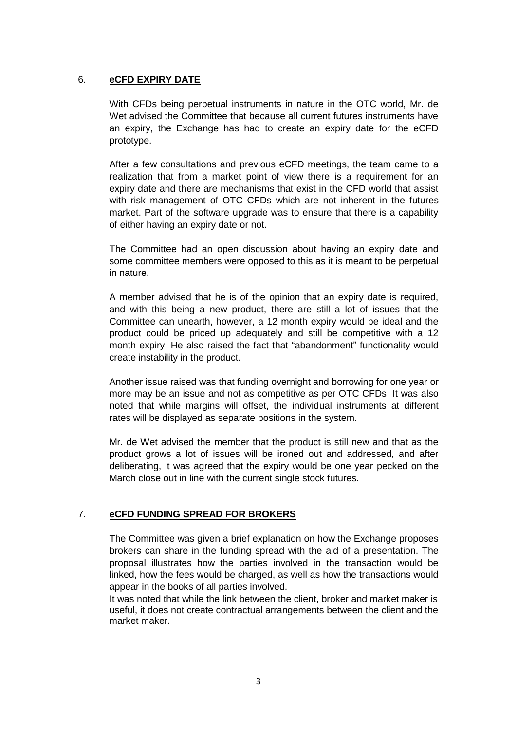## 6. **eCFD EXPIRY DATE**

With CFDs being perpetual instruments in nature in the OTC world, Mr. de Wet advised the Committee that because all current futures instruments have an expiry, the Exchange has had to create an expiry date for the eCFD prototype.

After a few consultations and previous eCFD meetings, the team came to a realization that from a market point of view there is a requirement for an expiry date and there are mechanisms that exist in the CFD world that assist with risk management of OTC CFDs which are not inherent in the futures market. Part of the software upgrade was to ensure that there is a capability of either having an expiry date or not.

The Committee had an open discussion about having an expiry date and some committee members were opposed to this as it is meant to be perpetual in nature.

A member advised that he is of the opinion that an expiry date is required, and with this being a new product, there are still a lot of issues that the Committee can unearth, however, a 12 month expiry would be ideal and the product could be priced up adequately and still be competitive with a 12 month expiry. He also raised the fact that "abandonment" functionality would create instability in the product.

Another issue raised was that funding overnight and borrowing for one year or more may be an issue and not as competitive as per OTC CFDs. It was also noted that while margins will offset, the individual instruments at different rates will be displayed as separate positions in the system.

Mr. de Wet advised the member that the product is still new and that as the product grows a lot of issues will be ironed out and addressed, and after deliberating, it was agreed that the expiry would be one year pecked on the March close out in line with the current single stock futures.

# 7. **eCFD FUNDING SPREAD FOR BROKERS**

The Committee was given a brief explanation on how the Exchange proposes brokers can share in the funding spread with the aid of a presentation. The proposal illustrates how the parties involved in the transaction would be linked, how the fees would be charged, as well as how the transactions would appear in the books of all parties involved.

It was noted that while the link between the client, broker and market maker is useful, it does not create contractual arrangements between the client and the market maker.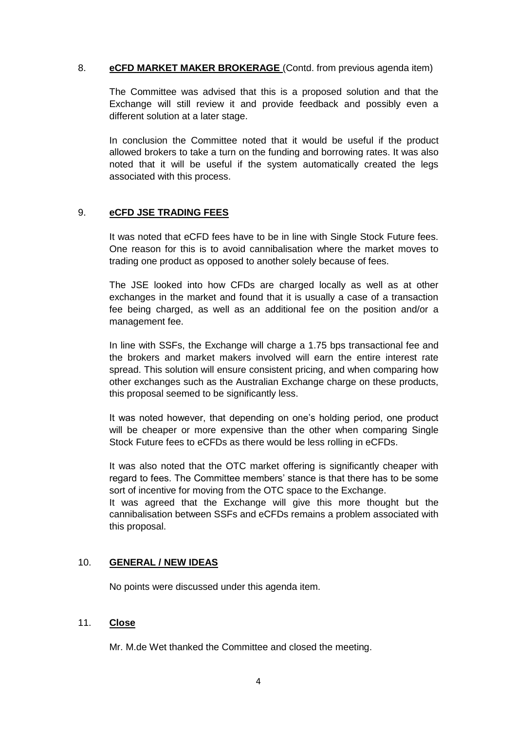### 8. **eCFD MARKET MAKER BROKERAGE** (Contd. from previous agenda item)

The Committee was advised that this is a proposed solution and that the Exchange will still review it and provide feedback and possibly even a different solution at a later stage.

In conclusion the Committee noted that it would be useful if the product allowed brokers to take a turn on the funding and borrowing rates. It was also noted that it will be useful if the system automatically created the legs associated with this process.

# 9. **eCFD JSE TRADING FEES**

It was noted that eCFD fees have to be in line with Single Stock Future fees. One reason for this is to avoid cannibalisation where the market moves to trading one product as opposed to another solely because of fees.

The JSE looked into how CFDs are charged locally as well as at other exchanges in the market and found that it is usually a case of a transaction fee being charged, as well as an additional fee on the position and/or a management fee.

In line with SSFs, the Exchange will charge a 1.75 bps transactional fee and the brokers and market makers involved will earn the entire interest rate spread. This solution will ensure consistent pricing, and when comparing how other exchanges such as the Australian Exchange charge on these products, this proposal seemed to be significantly less.

It was noted however, that depending on one's holding period, one product will be cheaper or more expensive than the other when comparing Single Stock Future fees to eCFDs as there would be less rolling in eCFDs.

It was also noted that the OTC market offering is significantly cheaper with regard to fees. The Committee members' stance is that there has to be some sort of incentive for moving from the OTC space to the Exchange.

It was agreed that the Exchange will give this more thought but the cannibalisation between SSFs and eCFDs remains a problem associated with this proposal.

### 10. **GENERAL / NEW IDEAS**

No points were discussed under this agenda item.

### 11. **Close**

Mr. M.de Wet thanked the Committee and closed the meeting.